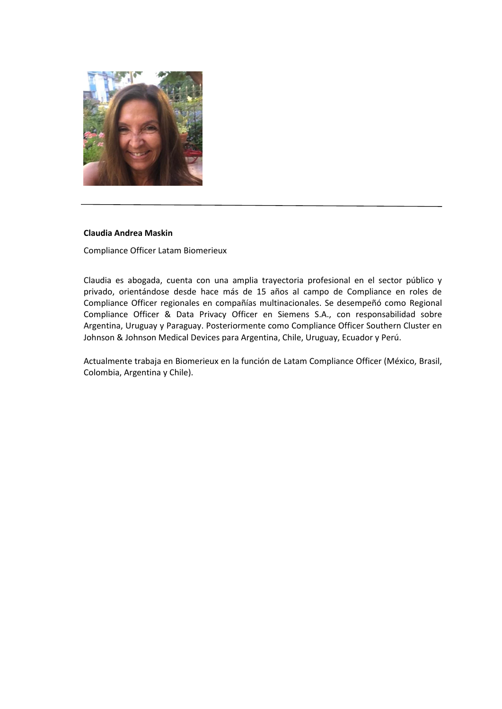

#### **Claudia Andrea Maskin**

Compliance Officer Latam Biomerieux

Claudia es abogada, cuenta con una amplia trayectoria profesional en el sector público y privado, orientándose desde hace más de 15 años al campo de Compliance en roles de Compliance Officer regionales en compañías multinacionales. Se desempeñó como Regional Compliance Officer & Data Privacy Officer en Siemens S.A., con responsabilidad sobre Argentina, Uruguay y Paraguay. Posteriormente como Compliance Officer Southern Cluster en Johnson & Johnson Medical Devices para Argentina, Chile, Uruguay, Ecuador y Perú.

Actualmente trabaja en Biomerieux en la función de Latam Compliance Officer (México, Brasil, Colombia, Argentina y Chile).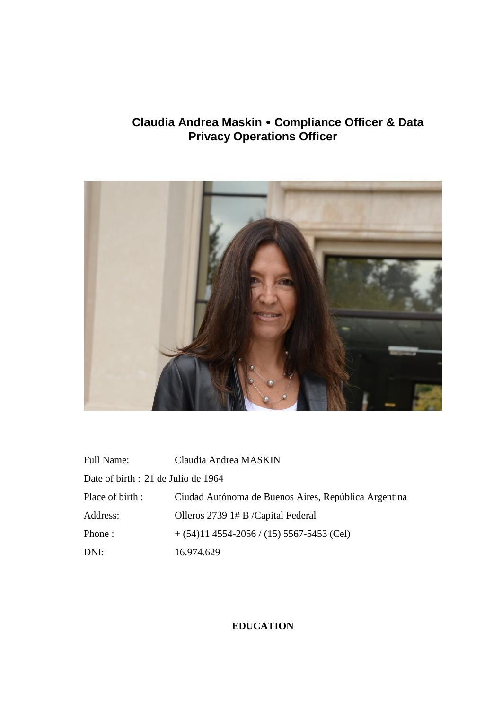# **Claudia Andrea Maskin Compliance Officer & Data Privacy Operations Officer**



| <b>Full Name:</b>                   | Claudia Andrea MASKIN                                |  |
|-------------------------------------|------------------------------------------------------|--|
| Date of birth : 21 de Julio de 1964 |                                                      |  |
| Place of birth :                    | Ciudad Autónoma de Buenos Aires, República Argentina |  |
| Address:                            | Olleros 2739 1# B /Capital Federal                   |  |
| Phone:                              | $+(54)114554-2056/(15)5567-5453$ (Cel)               |  |
| DNI:                                | 16.974.629                                           |  |

# **EDUCATION**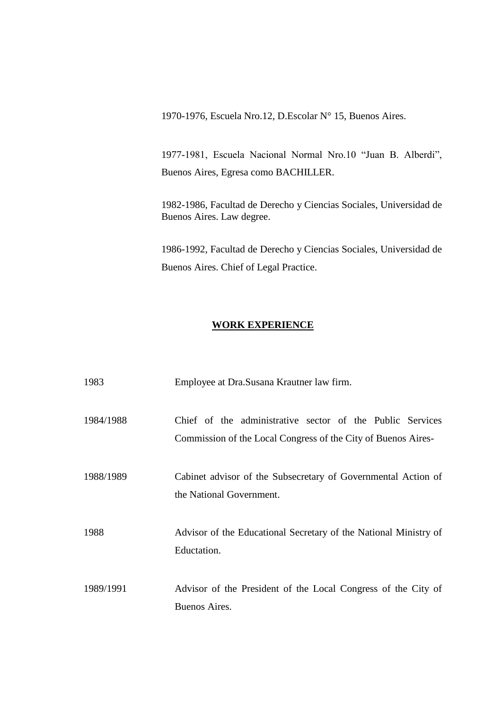1970-1976, Escuela Nro.12, D.Escolar N° 15, Buenos Aires.

1977-1981, Escuela Nacional Normal Nro.10 "Juan B. Alberdi", Buenos Aires, Egresa como BACHILLER.

1982-1986, Facultad de Derecho y Ciencias Sociales, Universidad de Buenos Aires. Law degree.

1986-1992, Facultad de Derecho y Ciencias Sociales, Universidad de Buenos Aires. Chief of Legal Practice.

#### **WORK EXPERIENCE**

| 1983      | Employee at Dra.Susana Krautner law firm.                                                                                  |
|-----------|----------------------------------------------------------------------------------------------------------------------------|
| 1984/1988 | Chief of the administrative sector of the Public Services<br>Commission of the Local Congress of the City of Buenos Aires- |
| 1988/1989 | Cabinet advisor of the Subsecretary of Governmental Action of<br>the National Government.                                  |
| 1988      | Advisor of the Educational Secretary of the National Ministry of<br>Eductation.                                            |
| 1989/1991 | Advisor of the President of the Local Congress of the City of<br>Buenos Aires.                                             |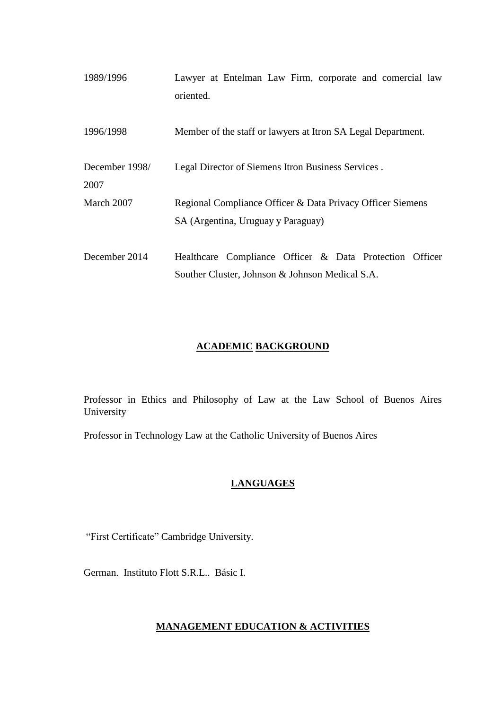| 1989/1996              | Lawyer at Entelman Law Firm, corporate and comercial law<br>oriented.                                      |
|------------------------|------------------------------------------------------------------------------------------------------------|
| 1996/1998              | Member of the staff or lawyers at Itron SA Legal Department.                                               |
|                        |                                                                                                            |
| December 1998/<br>2007 | Legal Director of Siemens Itron Business Services.                                                         |
| March 2007             | Regional Compliance Officer & Data Privacy Officer Siemens<br>SA (Argentina, Uruguay y Paraguay)           |
| December 2014          | Healthcare Compliance Officer & Data Protection Officer<br>Souther Cluster, Johnson & Johnson Medical S.A. |

## **ACADEMIC BACKGROUND**

Professor in Ethics and Philosophy of Law at the Law School of Buenos Aires University

Professor in Technology Law at the Catholic University of Buenos Aires

## **LANGUAGES**

"First Certificate" Cambridge University.

German. Instituto Flott S.R.L.. Básic I.

## **MANAGEMENT EDUCATION & ACTIVITIES**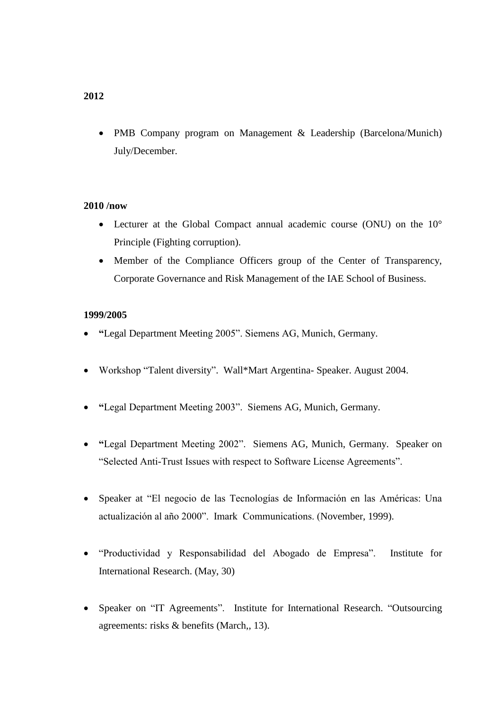• PMB Company program on Management & Leadership (Barcelona/Munich) July/December.

#### **2010 /now**

- Lecturer at the Global Compact annual academic course (ONU) on the 10° Principle (Fighting corruption).
- Member of the Compliance Officers group of the Center of Transparency, Corporate Governance and Risk Management of the IAE School of Business.

### **1999/2005**

- **"**Legal Department Meeting 2005". Siemens AG, Munich, Germany.
- Workshop "Talent diversity". Wall\*Mart Argentina- Speaker. August 2004.
- **"**Legal Department Meeting 2003". Siemens AG, Munich, Germany.
- **"**Legal Department Meeting 2002". Siemens AG, Munich, Germany. Speaker on "Selected Anti-Trust Issues with respect to Software License Agreements".
- Speaker at "El negocio de las Tecnologías de Información en las Américas: Una actualización al año 2000". Imark Communications. (November, 1999).
- "Productividad y Responsabilidad del Abogado de Empresa". Institute for International Research. (May, 30)
- Speaker on "IT Agreements". Institute for International Research. "Outsourcing agreements: risks & benefits (March,, 13).